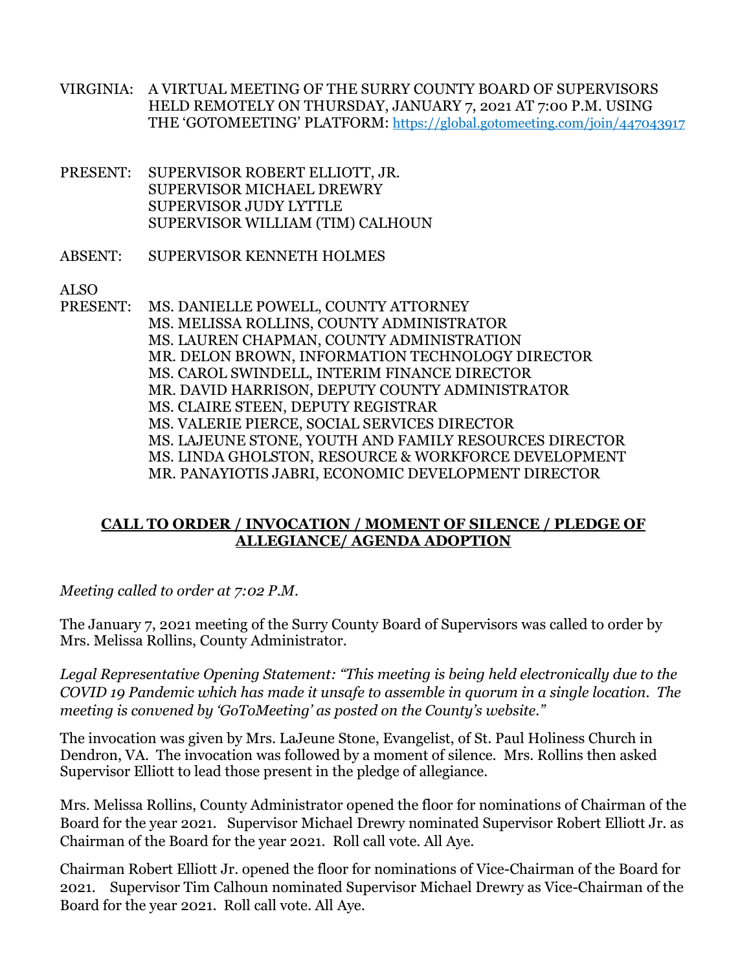- VIRGINIA: A VIRTUAL MEETING OF THE SURRY COUNTY BOARD OF SUPERVISORS HELD REMOTELY ON THURSDAY, JANUARY 7, 2021 AT 7:00 P.M. USING THE 'GOTOMEETING' PLATFORM: https://global.gotomeeting.com/join/447043917
- PRESENT: SUPERVISOR ROBERT ELLIOTT, JR. SUPERVISOR MICHAEL DREWRY SUPERVISOR JUDY LYTTLE SUPERVISOR WILLIAM (TIM) CALHOUN
- ABSENT: SUPERVISOR KENNETH HOLMES

ALSO

PRESENT: MS. DANIELLE POWELL, COUNTY ATTORNEY MS. MELISSA ROLLINS, COUNTY ADMINISTRATOR MS. LAUREN CHAPMAN, COUNTY ADMINISTRATION MR. DELON BROWN, INFORMATION TECHNOLOGY DIRECTOR MS. CAROL SWINDELL, INTERIM FINANCE DIRECTOR MR. DAVID HARRISON, DEPUTY COUNTY ADMINISTRATOR MS. CLAIRE STEEN, DEPUTY REGISTRAR MS. VALERIE PIERCE, SOCIAL SERVICES DIRECTOR MS. LAJEUNE STONE, YOUTH AND FAMILY RESOURCES DIRECTOR MS. LINDA GHOLSTON, RESOURCE & WORKFORCE DEVELOPMENT MR. PANAYIOTIS JABRI, ECONOMIC DEVELOPMENT DIRECTOR

# **CALL TO ORDER / INVOCATION / MOMENT OF SILENCE / PLEDGE OF ALLEGIANCE/ AGENDA ADOPTION**

*Meeting called to order at 7:02 P.M.*

The January 7, 2021 meeting of the Surry County Board of Supervisors was called to order by Mrs. Melissa Rollins, County Administrator.

*Legal Representative Opening Statement: "This meeting is being held electronically due to the COVID 19 Pandemic which has made it unsafe to assemble in quorum in a single location. The meeting is convened by 'GoToMeeting' as posted on the County's website."* 

The invocation was given by Mrs. LaJeune Stone, Evangelist, of St. Paul Holiness Church in Dendron, VA. The invocation was followed by a moment of silence. Mrs. Rollins then asked Supervisor Elliott to lead those present in the pledge of allegiance.

Mrs. Melissa Rollins, County Administrator opened the floor for nominations of Chairman of the Board for the year 2021. Supervisor Michael Drewry nominated Supervisor Robert Elliott Jr. as Chairman of the Board for the year 2021. Roll call vote. All Aye.

Chairman Robert Elliott Jr. opened the floor for nominations of Vice-Chairman of the Board for 2021. Supervisor Tim Calhoun nominated Supervisor Michael Drewry as Vice-Chairman of the Board for the year 2021. Roll call vote. All Aye.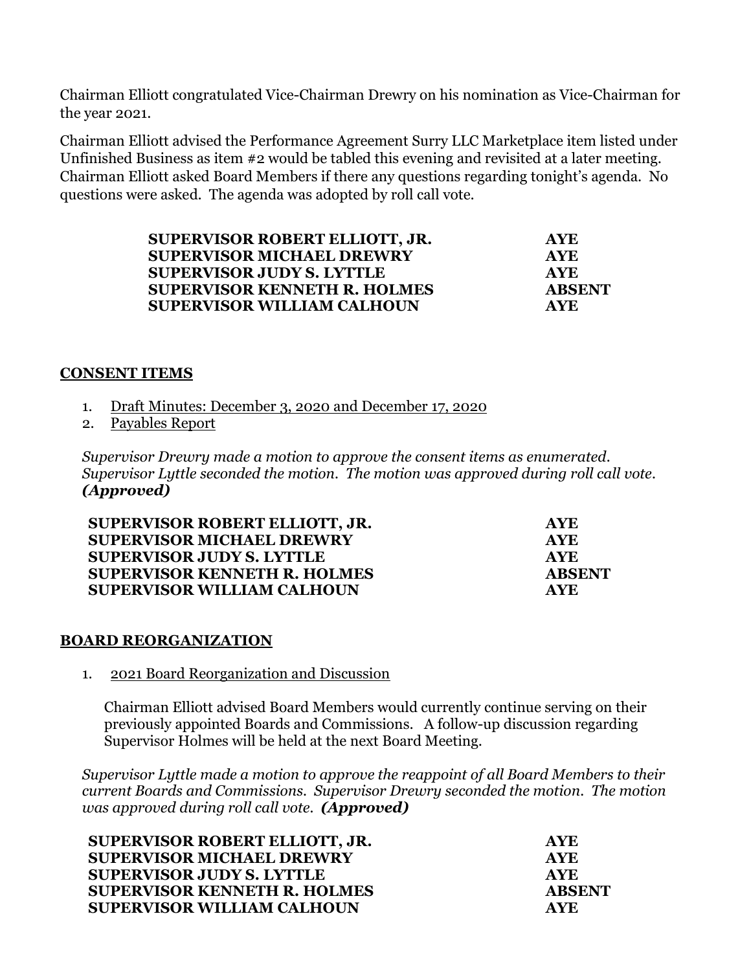Chairman Elliott congratulated Vice-Chairman Drewry on his nomination as Vice-Chairman for the year 2021.

Chairman Elliott advised the Performance Agreement Surry LLC Marketplace item listed under Unfinished Business as item #2 would be tabled this evening and revisited at a later meeting. Chairman Elliott asked Board Members if there any questions regarding tonight's agenda. No questions were asked. The agenda was adopted by roll call vote.

| SUPERVISOR ROBERT ELLIOTT, JR.      | <b>AYE</b>    |
|-------------------------------------|---------------|
| <b>SUPERVISOR MICHAEL DREWRY</b>    | <b>AYE</b>    |
| <b>SUPERVISOR JUDY S. LYTTLE</b>    | <b>AYE</b>    |
| <b>SUPERVISOR KENNETH R. HOLMES</b> | <b>ARSENT</b> |
| <b>SUPERVISOR WILLIAM CALHOUN</b>   | <b>AYE</b>    |

## **CONSENT ITEMS**

- 1. Draft Minutes: December 3, 2020 and December 17, 2020
- 2. Payables Report

*Supervisor Drewry made a motion to approve the consent items as enumerated. Supervisor Lyttle seconded the motion. The motion was approved during roll call vote. (Approved)* 

| SUPERVISOR ROBERT ELLIOTT, JR.      | <b>AYE</b>    |
|-------------------------------------|---------------|
| <b>SUPERVISOR MICHAEL DREWRY</b>    | <b>AYE</b>    |
| <b>SUPERVISOR JUDY S. LYTTLE</b>    | <b>AYE</b>    |
| <b>SUPERVISOR KENNETH R. HOLMES</b> | <b>ABSENT</b> |
| <b>SUPERVISOR WILLIAM CALHOUN</b>   | <b>AYE</b>    |

# **BOARD REORGANIZATION**

1. 2021 Board Reorganization and Discussion

Chairman Elliott advised Board Members would currently continue serving on their previously appointed Boards and Commissions. A follow-up discussion regarding Supervisor Holmes will be held at the next Board Meeting.

*Supervisor Lyttle made a motion to approve the reappoint of all Board Members to their current Boards and Commissions. Supervisor Drewry seconded the motion. The motion was approved during roll call vote. (Approved)* 

| SUPERVISOR ROBERT ELLIOTT, JR.      | <b>AYE</b>    |
|-------------------------------------|---------------|
| <b>SUPERVISOR MICHAEL DREWRY</b>    | <b>AYE</b>    |
| <b>SUPERVISOR JUDY S. LYTTLE</b>    | <b>AYE</b>    |
| <b>SUPERVISOR KENNETH R. HOLMES</b> | <b>ABSENT</b> |
| <b>SUPERVISOR WILLIAM CALHOUN</b>   | <b>AYE</b>    |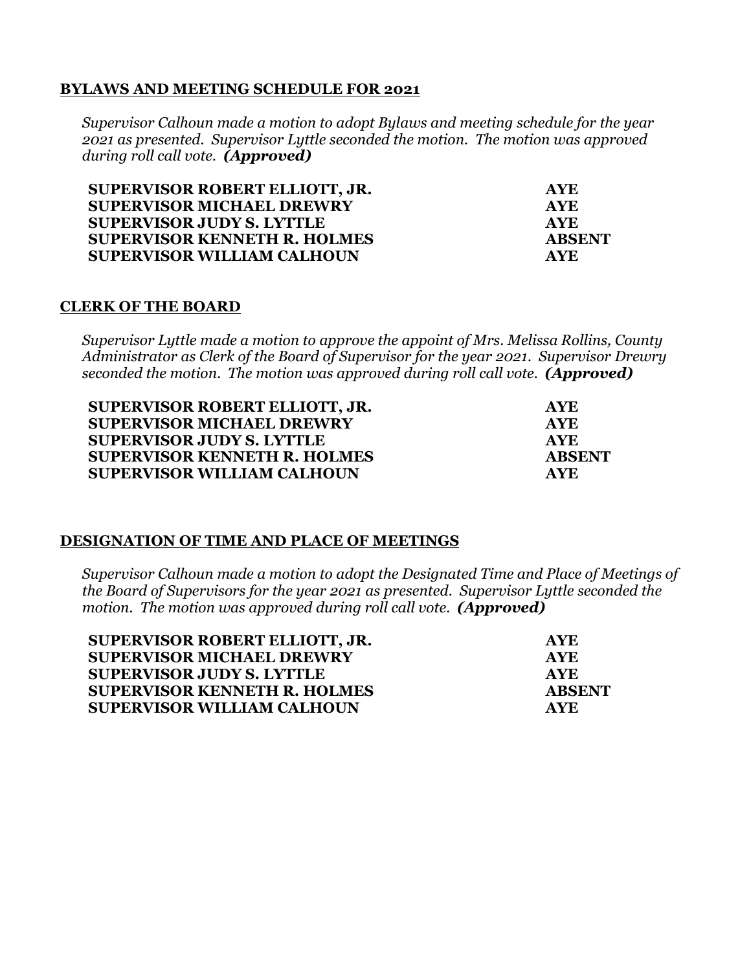#### **BYLAWS AND MEETING SCHEDULE FOR 2021**

*Supervisor Calhoun made a motion to adopt Bylaws and meeting schedule for the year 2021 as presented. Supervisor Lyttle seconded the motion. The motion was approved during roll call vote. (Approved)* 

| SUPERVISOR ROBERT ELLIOTT, JR.      | <b>AYE</b>    |
|-------------------------------------|---------------|
| <b>SUPERVISOR MICHAEL DREWRY</b>    | <b>AYE</b>    |
| <b>SUPERVISOR JUDY S. LYTTLE</b>    | <b>AYE</b>    |
| <b>SUPERVISOR KENNETH R. HOLMES</b> | <b>ABSENT</b> |
| <b>SUPERVISOR WILLIAM CALHOUN</b>   | AYE.          |

### **CLERK OF THE BOARD**

*Supervisor Lyttle made a motion to approve the appoint of Mrs. Melissa Rollins, County Administrator as Clerk of the Board of Supervisor for the year 2021. Supervisor Drewry seconded the motion. The motion was approved during roll call vote. (Approved)* 

| SUPERVISOR ROBERT ELLIOTT, JR.      | <b>AYE</b>    |  |
|-------------------------------------|---------------|--|
| <b>SUPERVISOR MICHAEL DREWRY</b>    | <b>AYE</b>    |  |
| <b>SUPERVISOR JUDY S. LYTTLE</b>    | <b>AYE</b>    |  |
| <b>SUPERVISOR KENNETH R. HOLMES</b> | <b>ABSENT</b> |  |
| <b>SUPERVISOR WILLIAM CALHOUN</b>   | AVE.          |  |

## **DESIGNATION OF TIME AND PLACE OF MEETINGS**

*Supervisor Calhoun made a motion to adopt the Designated Time and Place of Meetings of the Board of Supervisors for the year 2021 as presented. Supervisor Lyttle seconded the motion. The motion was approved during roll call vote. (Approved)* 

| <b>SUPERVISOR ROBERT ELLIOTT, JR.</b> | <b>AYE</b>    |  |
|---------------------------------------|---------------|--|
| <b>SUPERVISOR MICHAEL DREWRY</b>      | <b>AYE</b>    |  |
| <b>SUPERVISOR JUDY S. LYTTLE</b>      | <b>AYE</b>    |  |
| <b>SUPERVISOR KENNETH R. HOLMES</b>   | <b>ABSENT</b> |  |
| <b>SUPERVISOR WILLIAM CALHOUN</b>     | <b>AYE</b>    |  |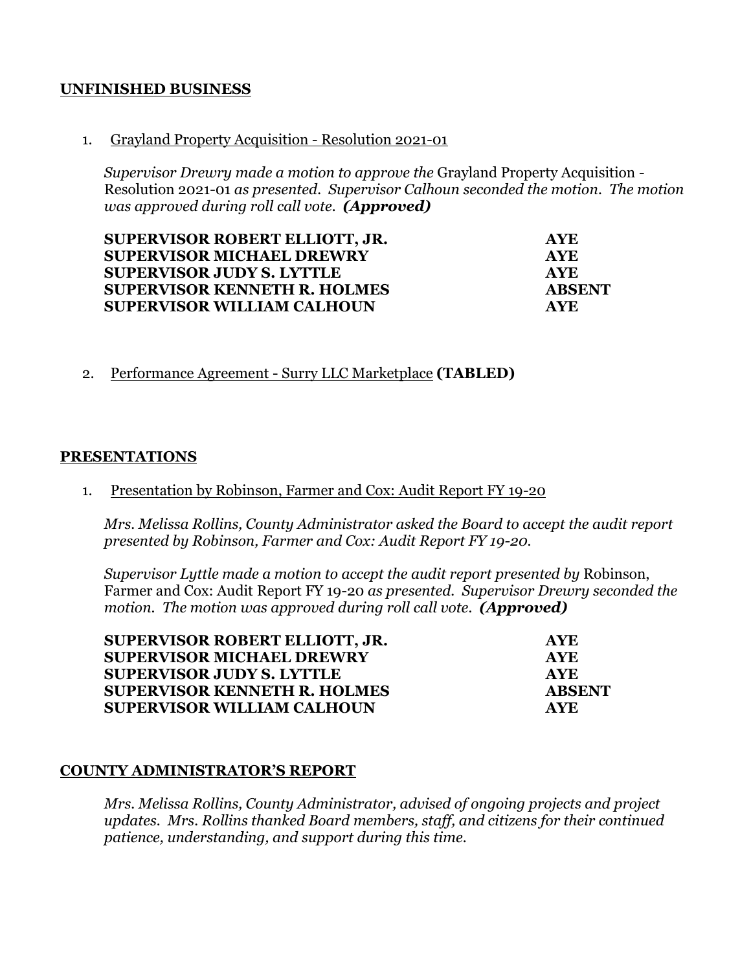### **UNFINISHED BUSINESS**

1. Grayland Property Acquisition - Resolution 2021-01

*Supervisor Drewry made a motion to approve the* Grayland Property Acquisition - Resolution 2021-01 *as presented. Supervisor Calhoun seconded the motion. The motion was approved during roll call vote. (Approved)* 

| SUPERVISOR ROBERT ELLIOTT, JR.      | <b>AYE</b>    |  |
|-------------------------------------|---------------|--|
| <b>SUPERVISOR MICHAEL DREWRY</b>    | <b>AYE</b>    |  |
| <b>SUPERVISOR JUDY S. LYTTLE</b>    | <b>AYE</b>    |  |
| <b>SUPERVISOR KENNETH R. HOLMES</b> | <b>ABSENT</b> |  |
| <b>SUPERVISOR WILLIAM CALHOUN</b>   | <b>AYE</b>    |  |

2. Performance Agreement - Surry LLC Marketplace **(TABLED)**

### **PRESENTATIONS**

1. Presentation by Robinson, Farmer and Cox: Audit Report FY 19-20

*Mrs. Melissa Rollins, County Administrator asked the Board to accept the audit report presented by Robinson, Farmer and Cox: Audit Report FY 19-20.*

*Supervisor Lyttle made a motion to accept the audit report presented by* Robinson, Farmer and Cox: Audit Report FY 19-20 *as presented. Supervisor Drewry seconded the motion. The motion was approved during roll call vote. (Approved)* 

| SUPERVISOR ROBERT ELLIOTT, JR.      | <b>AYE</b>    |  |
|-------------------------------------|---------------|--|
| <b>SUPERVISOR MICHAEL DREWRY</b>    | <b>AYE</b>    |  |
| <b>SUPERVISOR JUDY S. LYTTLE</b>    | <b>AYE</b>    |  |
| <b>SUPERVISOR KENNETH R. HOLMES</b> | <b>ABSENT</b> |  |
| <b>SUPERVISOR WILLIAM CALHOUN</b>   | AYE.          |  |

#### **COUNTY ADMINISTRATOR'S REPORT**

*Mrs. Melissa Rollins, County Administrator, advised of ongoing projects and project updates. Mrs. Rollins thanked Board members, staff, and citizens for their continued patience, understanding, and support during this time.*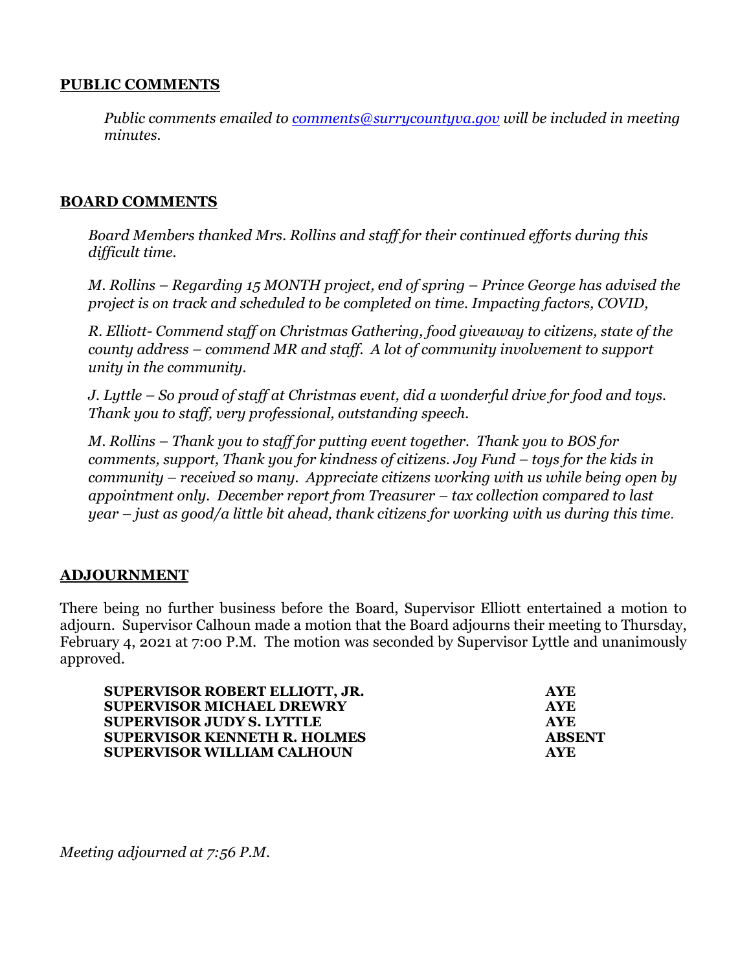# **PUBLIC COMMENTS**

*Public comments emailed to [comments@surrycountyva.gov](mailto:comments@surrycountyva.gov) will be included in meeting minutes.* 

# **BOARD COMMENTS**

*Board Members thanked Mrs. Rollins and staff for their continued efforts during this difficult time.* 

*M. Rollins – Regarding 15 MONTH project, end of spring – Prince George has advised the project is on track and scheduled to be completed on time. Impacting factors, COVID,* 

*R. Elliott- Commend staff on Christmas Gathering, food giveaway to citizens, state of the county address – commend MR and staff. A lot of community involvement to support unity in the community.* 

*J. Lyttle – So proud of staff at Christmas event, did a wonderful drive for food and toys. Thank you to staff, very professional, outstanding speech.* 

*M. Rollins – Thank you to staff for putting event together. Thank you to BOS for comments, support, Thank you for kindness of citizens. Joy Fund – toys for the kids in community – received so many. Appreciate citizens working with us while being open by appointment only. December report from Treasurer – tax collection compared to last year – just as good/a little bit ahead, thank citizens for working with us during this time*.

## **ADJOURNMENT**

There being no further business before the Board, Supervisor Elliott entertained a motion to adjourn. Supervisor Calhoun made a motion that the Board adjourns their meeting to Thursday, February 4, 2021 at 7:00 P.M. The motion was seconded by Supervisor Lyttle and unanimously approved.

| SUPERVISOR ROBERT ELLIOTT, JR.      | <b>AYE</b>    |
|-------------------------------------|---------------|
| <b>SUPERVISOR MICHAEL DREWRY</b>    | <b>AVE</b>    |
| <b>SUPERVISOR JUDY S. LYTTLE</b>    | <b>AVE</b>    |
| <b>SUPERVISOR KENNETH R. HOLMES</b> | <b>ABSENT</b> |
| <b>SUPERVISOR WILLIAM CALHOUN</b>   | AYE.          |

*Meeting adjourned at 7:56 P.M.*